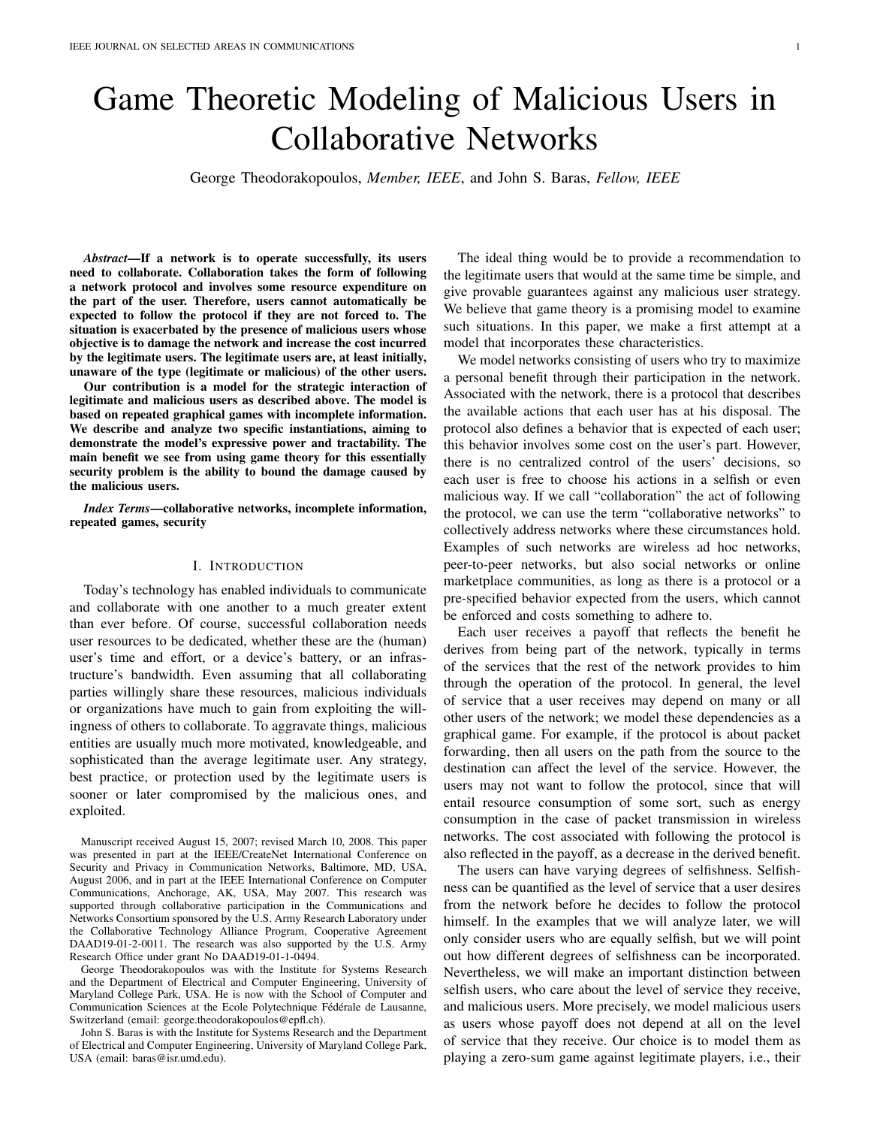# Game Theoretic Modeling of Malicious Users in Collaborative Networks

George Theodorakopoulos, *Member, IEEE*, and John S. Baras, *Fellow, IEEE*

*Abstract*—If a network is to operate successfully, its users need to collaborate. Collaboration takes the form of following a network protocol and involves some resource expenditure on the part of the user. Therefore, users cannot automatically be expected to follow the protocol if they are not forced to. The situation is exacerbated by the presence of malicious users whose objective is to damage the network and increase the cost incurred by the legitimate users. The legitimate users are, at least initially, unaware of the type (legitimate or malicious) of the other users.

Our contribution is a model for the strategic interaction of legitimate and malicious users as described above. The model is based on repeated graphical games with incomplete information. We describe and analyze two specific instantiations, aiming to demonstrate the model's expressive power and tractability. The main benefit we see from using game theory for this essentially security problem is the ability to bound the damage caused by the malicious users.

*Index Terms*—collaborative networks, incomplete information, repeated games, security

## I. INTRODUCTION

Today's technology has enabled individuals to communicate and collaborate with one another to a much greater extent than ever before. Of course, successful collaboration needs user resources to be dedicated, whether these are the (human) user's time and effort, or a device's battery, or an infrastructure's bandwidth. Even assuming that all collaborating parties willingly share these resources, malicious individuals or organizations have much to gain from exploiting the willingness of others to collaborate. To aggravate things, malicious entities are usually much more motivated, knowledgeable, and sophisticated than the average legitimate user. Any strategy, best practice, or protection used by the legitimate users is sooner or later compromised by the malicious ones, and exploited.

Manuscript received August 15, 2007; revised March 10, 2008. This paper was presented in part at the IEEE/CreateNet International Conference on Security and Privacy in Communication Networks, Baltimore, MD, USA, August 2006, and in part at the IEEE International Conference on Computer Communications, Anchorage, AK, USA, May 2007. This research was supported through collaborative participation in the Communications and Networks Consortium sponsored by the U.S. Army Research Laboratory under the Collaborative Technology Alliance Program, Cooperative Agreement DAAD19-01-2-0011. The research was also supported by the U.S. Army Research Office under grant No DAAD19-01-1-0494.

George Theodorakopoulos was with the Institute for Systems Research and the Department of Electrical and Computer Engineering, University of Maryland College Park, USA. He is now with the School of Computer and Communication Sciences at the Ecole Polytechnique Fédérale de Lausanne, Switzerland (email: george.theodorakopoulos@epfl.ch).

John S. Baras is with the Institute for Systems Research and the Department of Electrical and Computer Engineering, University of Maryland College Park, USA (email: baras@isr.umd.edu).

The ideal thing would be to provide a recommendation to the legitimate users that would at the same time be simple, and give provable guarantees against any malicious user strategy. We believe that game theory is a promising model to examine such situations. In this paper, we make a first attempt at a model that incorporates these characteristics.

We model networks consisting of users who try to maximize a personal benefit through their participation in the network. Associated with the network, there is a protocol that describes the available actions that each user has at his disposal. The protocol also defines a behavior that is expected of each user; this behavior involves some cost on the user's part. However, there is no centralized control of the users' decisions, so each user is free to choose his actions in a selfish or even malicious way. If we call "collaboration" the act of following the protocol, we can use the term "collaborative networks" to collectively address networks where these circumstances hold. Examples of such networks are wireless ad hoc networks, peer-to-peer networks, but also social networks or online marketplace communities, as long as there is a protocol or a pre-specified behavior expected from the users, which cannot be enforced and costs something to adhere to.

Each user receives a payoff that reflects the benefit he derives from being part of the network, typically in terms of the services that the rest of the network provides to him through the operation of the protocol. In general, the level of service that a user receives may depend on many or all other users of the network; we model these dependencies as a graphical game. For example, if the protocol is about packet forwarding, then all users on the path from the source to the destination can affect the level of the service. However, the users may not want to follow the protocol, since that will entail resource consumption of some sort, such as energy consumption in the case of packet transmission in wireless networks. The cost associated with following the protocol is also reflected in the payoff, as a decrease in the derived benefit.

The users can have varying degrees of selfishness. Selfishness can be quantified as the level of service that a user desires from the network before he decides to follow the protocol himself. In the examples that we will analyze later, we will only consider users who are equally selfish, but we will point out how different degrees of selfishness can be incorporated. Nevertheless, we will make an important distinction between selfish users, who care about the level of service they receive, and malicious users. More precisely, we model malicious users as users whose payoff does not depend at all on the level of service that they receive. Our choice is to model them as playing a zero-sum game against legitimate players, i.e., their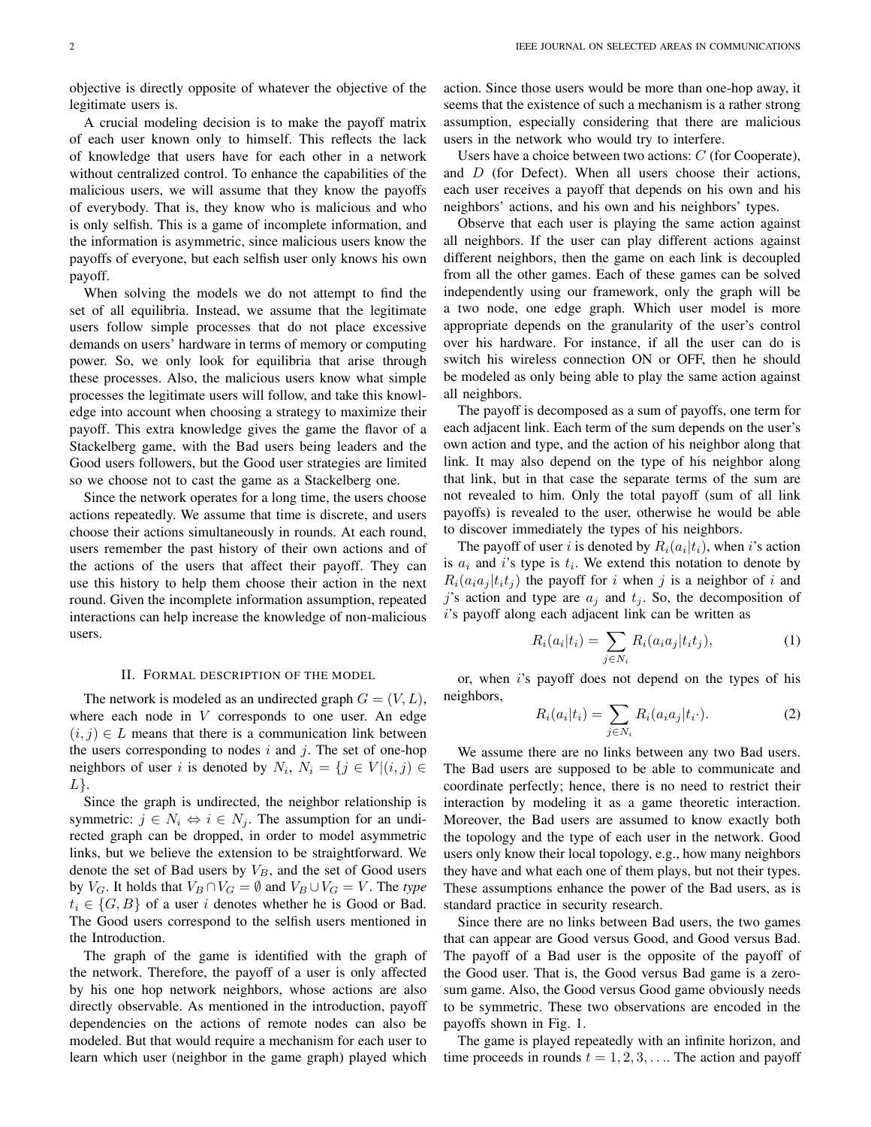objective is directly opposite of whatever the objective of the legitimate users is.

A crucial modeling decision is to make the payoff matrix of each user known only to himself. This reflects the lack of knowledge that users have for each other in a network without centralized control. To enhance the capabilities of the malicious users, we will assume that they know the payoffs of everybody. That is, they know who is malicious and who is only selfish. This is a game of incomplete information, and the information is asymmetric, since malicious users know the payoffs of everyone, but each selfish user only knows his own payoff.

When solving the models we do not attempt to find the set of all equilibria. Instead, we assume that the legitimate users follow simple processes that do not place excessive demands on users' hardware in terms of memory or computing power. So, we only look for equilibria that arise through these processes. Also, the malicious users know what simple processes the legitimate users will follow, and take this knowledge into account when choosing a strategy to maximize their payoff. This extra knowledge gives the game the flavor of a Stackelberg game, with the Bad users being leaders and the Good users followers, but the Good user strategies are limited so we choose not to cast the game as a Stackelberg one.

Since the network operates for a long time, the users choose actions repeatedly. We assume that time is discrete, and users choose their actions simultaneously in rounds. At each round, users remember the past history of their own actions and of the actions of the users that affect their payoff. They can use this history to help them choose their action in the next round. Given the incomplete information assumption, repeated interactions can help increase the knowledge of non-malicious users.

## II. FORMAL DESCRIPTION OF THE MODEL

The network is modeled as an undirected graph  $G = (V, L)$ , where each node in  $V$  corresponds to one user. An edge  $(i, j) \in L$  means that there is a communication link between the users corresponding to nodes  $i$  and  $j$ . The set of one-hop neighbors of user i is denoted by  $N_i$ ,  $N_i = \{j \in V | (i, j) \in$  $L$ .

Since the graph is undirected, the neighbor relationship is symmetric:  $j \in N_i \Leftrightarrow i \in N_j$ . The assumption for an undirected graph can be dropped, in order to model asymmetric links, but we believe the extension to be straightforward. We denote the set of Bad users by  $V_B$ , and the set of Good users by  $V_G$ . It holds that  $V_B \cap V_G = \emptyset$  and  $V_B \cup V_G = V$ . The *type*  $t_i \in \{G, B\}$  of a user i denotes whether he is Good or Bad. The Good users correspond to the selfish users mentioned in the Introduction.

The graph of the game is identified with the graph of the network. Therefore, the payoff of a user is only affected by his one hop network neighbors, whose actions are also directly observable. As mentioned in the introduction, payoff dependencies on the actions of remote nodes can also be modeled. But that would require a mechanism for each user to learn which user (neighbor in the game graph) played which

action. Since those users would be more than one-hop away, it seems that the existence of such a mechanism is a rather strong assumption, especially considering that there are malicious users in the network who would try to interfere.

Users have a choice between two actions: C (for Cooperate), and  $D$  (for Defect). When all users choose their actions, each user receives a payoff that depends on his own and his neighbors' actions, and his own and his neighbors' types.

Observe that each user is playing the same action against all neighbors. If the user can play different actions against different neighbors, then the game on each link is decoupled from all the other games. Each of these games can be solved independently using our framework, only the graph will be a two node, one edge graph. Which user model is more appropriate depends on the granularity of the user's control over his hardware. For instance, if all the user can do is switch his wireless connection ON or OFF, then he should be modeled as only being able to play the same action against all neighbors.

The payoff is decomposed as a sum of payoffs, one term for each adjacent link. Each term of the sum depends on the user's own action and type, and the action of his neighbor along that link. It may also depend on the type of his neighbor along that link, but in that case the separate terms of the sum are not revealed to him. Only the total payoff (sum of all link payoffs) is revealed to the user, otherwise he would be able to discover immediately the types of his neighbors.

The payoff of user i is denoted by  $R_i(a_i|t_i)$ , when i's action is  $a_i$  and i's type is  $t_i$ . We extend this notation to denote by  $R_i(a_ia_j|t_it_j)$  the payoff for i when j is a neighbor of i and j's action and type are  $a_j$  and  $t_j$ . So, the decomposition of i's payoff along each adjacent link can be written as

$$
R_i(a_i|t_i) = \sum_{j \in N_i} R_i(a_i a_j|t_i t_j), \qquad (1)
$$

or, when i's payoff does not depend on the types of his neighbors,

$$
R_i(a_i|t_i) = \sum_{j \in N_i} R_i(a_i a_j|t_i).
$$
 (2)

We assume there are no links between any two Bad users. The Bad users are supposed to be able to communicate and coordinate perfectly; hence, there is no need to restrict their interaction by modeling it as a game theoretic interaction. Moreover, the Bad users are assumed to know exactly both the topology and the type of each user in the network. Good users only know their local topology, e.g., how many neighbors they have and what each one of them plays, but not their types. These assumptions enhance the power of the Bad users, as is standard practice in security research.

Since there are no links between Bad users, the two games that can appear are Good versus Good, and Good versus Bad. The payoff of a Bad user is the opposite of the payoff of the Good user. That is, the Good versus Bad game is a zerosum game. Also, the Good versus Good game obviously needs to be symmetric. These two observations are encoded in the payoffs shown in Fig. 1.

The game is played repeatedly with an infinite horizon, and time proceeds in rounds  $t = 1, 2, 3, \ldots$  The action and payoff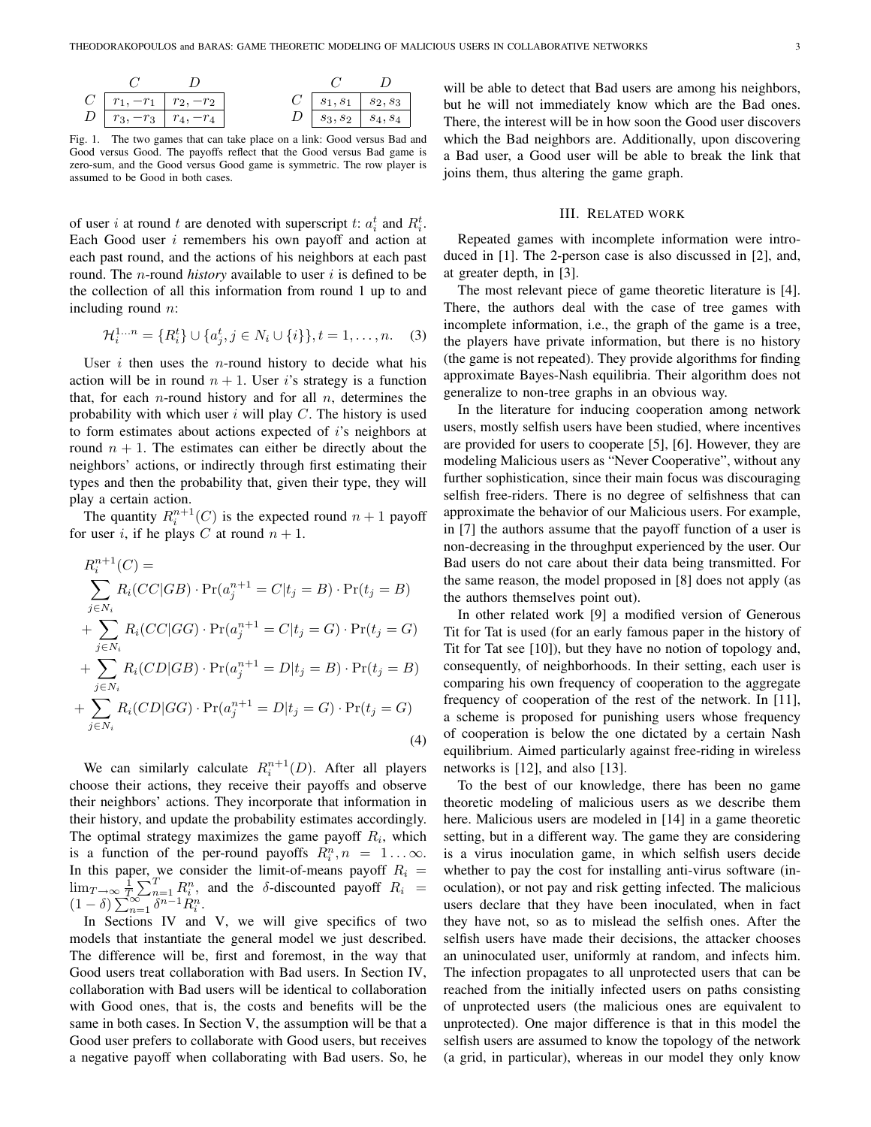$$
\begin{array}{ccc}\nC & D & C & D \\
C & r_1, -r_1 & r_2, -r_2 \\
D & r_3, -r_3 & r_4, -r_4\n\end{array}\n\qquad\n\begin{array}{ccc}\nC & D & \\
S_1, s_1 & s_2, s_3 \\
D & s_3, s_2 & s_4, s_4\n\end{array}
$$

Fig. 1. The two games that can take place on a link: Good versus Bad and Good versus Good. The payoffs reflect that the Good versus Bad game is zero-sum, and the Good versus Good game is symmetric. The row player is assumed to be Good in both cases.

of user *i* at round *t* are denoted with superscript *t*:  $a_i^t$  and  $R_i^t$ . Each Good user *i* remembers his own payoff and action at each past round, and the actions of his neighbors at each past round. The *n*-round *history* available to user  $i$  is defined to be the collection of all this information from round 1 up to and including round  $n$ :

$$
\mathcal{H}_i^{1...n} = \{R_i^t\} \cup \{a_j^t, j \in N_i \cup \{i\}\}, t = 1, \dots, n. \quad (3)
$$

User  $i$  then uses the *n*-round history to decide what his action will be in round  $n + 1$ . User i's strategy is a function that, for each *n*-round history and for all  $n$ , determines the probability with which user  $i$  will play  $C$ . The history is used to form estimates about actions expected of  $i$ 's neighbors at round  $n + 1$ . The estimates can either be directly about the neighbors' actions, or indirectly through first estimating their types and then the probability that, given their type, they will play a certain action.

The quantity  $R_i^{n+1}(C)$  is the expected round  $n+1$  payoff for user i, if he plays C at round  $n + 1$ .

$$
R_i^{n+1}(C) =
$$
  
\n
$$
\sum_{j \in N_i} R_i(CC|GB) \cdot \Pr(a_j^{n+1} = C|t_j = B) \cdot \Pr(t_j = B)
$$
  
\n
$$
+ \sum_{j \in N_i} R_i(CC|GG) \cdot \Pr(a_j^{n+1} = C|t_j = G) \cdot \Pr(t_j = G)
$$
  
\n
$$
+ \sum_{j \in N_i} R_i(CD|GB) \cdot \Pr(a_j^{n+1} = D|t_j = B) \cdot \Pr(t_j = B)
$$
  
\n
$$
+ \sum_{j \in N_i} R_i(CD|GG) \cdot \Pr(a_j^{n+1} = D|t_j = G) \cdot \Pr(t_j = G)
$$
  
\n(4)

We can similarly calculate  $R_i^{n+1}(D)$ . After all players choose their actions, they receive their payoffs and observe their neighbors' actions. They incorporate that information in their history, and update the probability estimates accordingly. The optimal strategy maximizes the game payoff  $R_i$ , which is a function of the per-round payoffs  $R_i^n, n = 1... \infty$ . In this paper, we consider the limit-of-means payoff  $R_i =$  $\lim_{T\to\infty}\frac{1}{T}$ er, we consider the fifth-of-filed payoff  $R_i = \sum_{n=1}^{T} R_i^n$ , and the  $\delta$ -discounted payoff  $R_i =$  $\lim_{T\to\infty} \overline{T} \sum_{n=1}^{n} R_i,$ <br> $(1-\delta) \sum_{n=1}^{\infty} \delta^{n-1} R_i^n.$ 

In Sections IV and V, we will give specifics of two models that instantiate the general model we just described. The difference will be, first and foremost, in the way that Good users treat collaboration with Bad users. In Section IV, collaboration with Bad users will be identical to collaboration with Good ones, that is, the costs and benefits will be the same in both cases. In Section V, the assumption will be that a Good user prefers to collaborate with Good users, but receives a negative payoff when collaborating with Bad users. So, he

will be able to detect that Bad users are among his neighbors, but he will not immediately know which are the Bad ones. There, the interest will be in how soon the Good user discovers which the Bad neighbors are. Additionally, upon discovering a Bad user, a Good user will be able to break the link that joins them, thus altering the game graph.

## III. RELATED WORK

Repeated games with incomplete information were introduced in [1]. The 2-person case is also discussed in [2], and, at greater depth, in [3].

The most relevant piece of game theoretic literature is [4]. There, the authors deal with the case of tree games with incomplete information, i.e., the graph of the game is a tree, the players have private information, but there is no history (the game is not repeated). They provide algorithms for finding approximate Bayes-Nash equilibria. Their algorithm does not generalize to non-tree graphs in an obvious way.

In the literature for inducing cooperation among network users, mostly selfish users have been studied, where incentives are provided for users to cooperate [5], [6]. However, they are modeling Malicious users as "Never Cooperative", without any further sophistication, since their main focus was discouraging selfish free-riders. There is no degree of selfishness that can approximate the behavior of our Malicious users. For example, in [7] the authors assume that the payoff function of a user is non-decreasing in the throughput experienced by the user. Our Bad users do not care about their data being transmitted. For the same reason, the model proposed in [8] does not apply (as the authors themselves point out).

In other related work [9] a modified version of Generous Tit for Tat is used (for an early famous paper in the history of Tit for Tat see [10]), but they have no notion of topology and, consequently, of neighborhoods. In their setting, each user is comparing his own frequency of cooperation to the aggregate frequency of cooperation of the rest of the network. In [11], a scheme is proposed for punishing users whose frequency of cooperation is below the one dictated by a certain Nash equilibrium. Aimed particularly against free-riding in wireless networks is [12], and also [13].

To the best of our knowledge, there has been no game theoretic modeling of malicious users as we describe them here. Malicious users are modeled in [14] in a game theoretic setting, but in a different way. The game they are considering is a virus inoculation game, in which selfish users decide whether to pay the cost for installing anti-virus software (inoculation), or not pay and risk getting infected. The malicious users declare that they have been inoculated, when in fact they have not, so as to mislead the selfish ones. After the selfish users have made their decisions, the attacker chooses an uninoculated user, uniformly at random, and infects him. The infection propagates to all unprotected users that can be reached from the initially infected users on paths consisting of unprotected users (the malicious ones are equivalent to unprotected). One major difference is that in this model the selfish users are assumed to know the topology of the network (a grid, in particular), whereas in our model they only know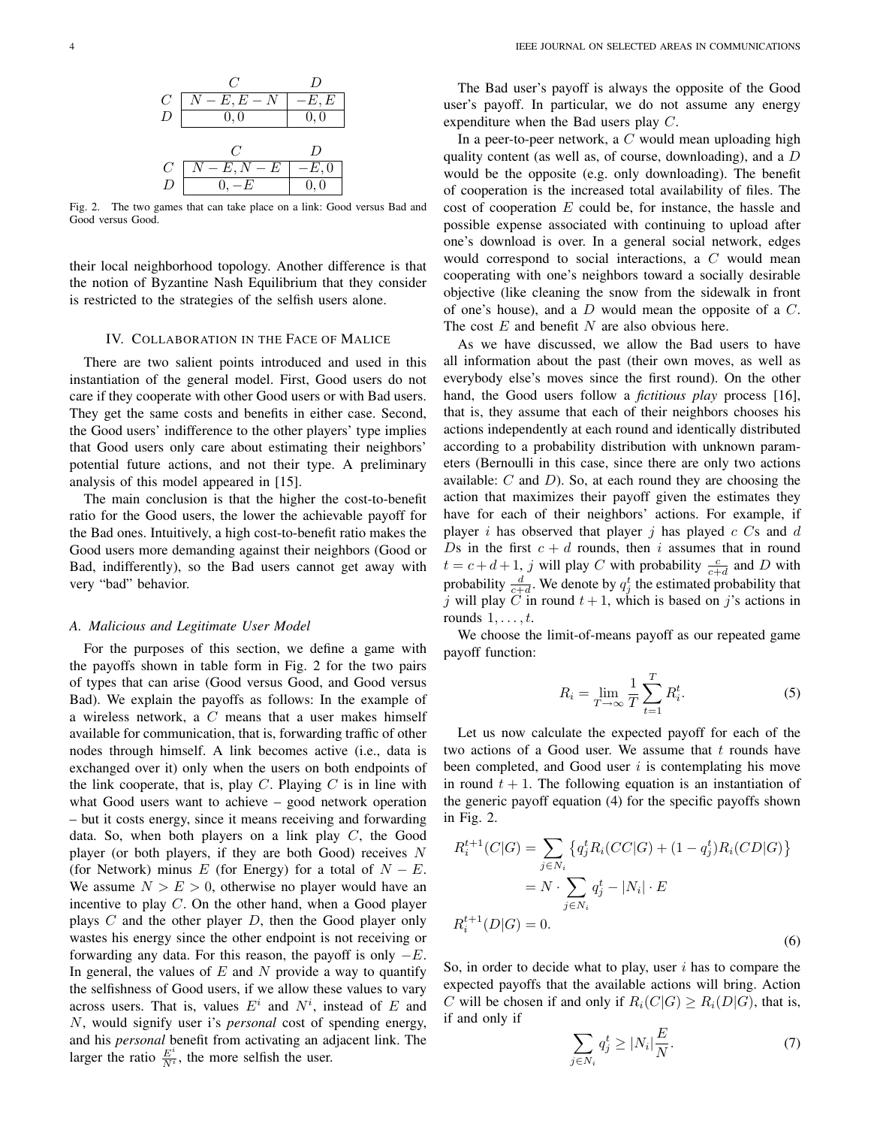| C | $N-E,E-N$ | $-E, E$ |
|---|-----------|---------|
| D | 0, 0      | 0, 0    |
|   |           |         |
|   | 67        |         |
|   |           |         |
| C | $N-E,N-E$ | E,0     |

Fig. 2. The two games that can take place on a link: Good versus Bad and Good versus Good.

their local neighborhood topology. Another difference is that the notion of Byzantine Nash Equilibrium that they consider is restricted to the strategies of the selfish users alone.

## IV. COLLABORATION IN THE FACE OF MALICE

There are two salient points introduced and used in this instantiation of the general model. First, Good users do not care if they cooperate with other Good users or with Bad users. They get the same costs and benefits in either case. Second, the Good users' indifference to the other players' type implies that Good users only care about estimating their neighbors' potential future actions, and not their type. A preliminary analysis of this model appeared in [15].

The main conclusion is that the higher the cost-to-benefit ratio for the Good users, the lower the achievable payoff for the Bad ones. Intuitively, a high cost-to-benefit ratio makes the Good users more demanding against their neighbors (Good or Bad, indifferently), so the Bad users cannot get away with very "bad" behavior.

## *A. Malicious and Legitimate User Model*

For the purposes of this section, we define a game with the payoffs shown in table form in Fig. 2 for the two pairs of types that can arise (Good versus Good, and Good versus Bad). We explain the payoffs as follows: In the example of a wireless network, a C means that a user makes himself available for communication, that is, forwarding traffic of other nodes through himself. A link becomes active (i.e., data is exchanged over it) only when the users on both endpoints of the link cooperate, that is, play  $C$ . Playing  $C$  is in line with what Good users want to achieve – good network operation – but it costs energy, since it means receiving and forwarding data. So, when both players on a link play  $C$ , the Good player (or both players, if they are both Good) receives N (for Network) minus E (for Energy) for a total of  $N - E$ . We assume  $N > E > 0$ , otherwise no player would have an incentive to play C. On the other hand, when a Good player plays  $C$  and the other player  $D$ , then the Good player only wastes his energy since the other endpoint is not receiving or forwarding any data. For this reason, the payoff is only  $-E$ . In general, the values of  $E$  and  $N$  provide a way to quantify the selfishness of Good users, if we allow these values to vary across users. That is, values  $E^i$  and  $N^i$ , instead of E and N, would signify user i's *personal* cost of spending energy, and his *personal* benefit from activating an adjacent link. The larger the ratio  $\frac{E^i}{N_i}$  $\frac{E^i}{N^i}$ , the more selfish the user.

The Bad user's payoff is always the opposite of the Good user's payoff. In particular, we do not assume any energy expenditure when the Bad users play  $C$ .

In a peer-to-peer network, a  $C$  would mean uploading high quality content (as well as, of course, downloading), and a  $D$ would be the opposite (e.g. only downloading). The benefit of cooperation is the increased total availability of files. The cost of cooperation  $E$  could be, for instance, the hassle and possible expense associated with continuing to upload after one's download is over. In a general social network, edges would correspond to social interactions, a C would mean cooperating with one's neighbors toward a socially desirable objective (like cleaning the snow from the sidewalk in front of one's house), and a  $D$  would mean the opposite of a  $C$ . The cost  $E$  and benefit  $N$  are also obvious here.

As we have discussed, we allow the Bad users to have all information about the past (their own moves, as well as everybody else's moves since the first round). On the other hand, the Good users follow a *fictitious play* process [16], that is, they assume that each of their neighbors chooses his actions independently at each round and identically distributed according to a probability distribution with unknown parameters (Bernoulli in this case, since there are only two actions available:  $C$  and  $D$ ). So, at each round they are choosing the action that maximizes their payoff given the estimates they have for each of their neighbors' actions. For example, if player i has observed that player j has played  $c$  Cs and  $d$ Ds in the first  $c + d$  rounds, then i assumes that in round  $t = c + d + 1$ , j will play C with probability  $\frac{c}{c+d}$  and D with probability  $\frac{d}{c+d}$ . We denote by  $q_j^t$  the estimated probability that j will play C in round  $t + 1$ , which is based on j's actions in rounds  $1, \ldots, t$ .

We choose the limit-of-means payoff as our repeated game payoff function:

$$
R_i = \lim_{T \to \infty} \frac{1}{T} \sum_{t=1}^{T} R_i^t.
$$
 (5)

Let us now calculate the expected payoff for each of the two actions of a Good user. We assume that  $t$  rounds have been completed, and Good user  $i$  is contemplating his move in round  $t + 1$ . The following equation is an instantiation of the generic payoff equation (4) for the specific payoffs shown in Fig. 2.

$$
R_i^{t+1}(C|G) = \sum_{j \in N_i} \{q_j^t R_i(CC|G) + (1 - q_j^t) R_i(CD|G)\}
$$
  
=  $N \cdot \sum_{j \in N_i} q_j^t - |N_i| \cdot E$   
 $R_i^{t+1}(D|G) = 0.$  (6)

So, in order to decide what to play, user  $i$  has to compare the expected payoffs that the available actions will bring. Action C will be chosen if and only if  $R_i(C|G) \geq R_i(D|G)$ , that is, if and only if

$$
\sum_{j \in N_i} q_j^t \ge |N_i| \frac{E}{N}.\tag{7}
$$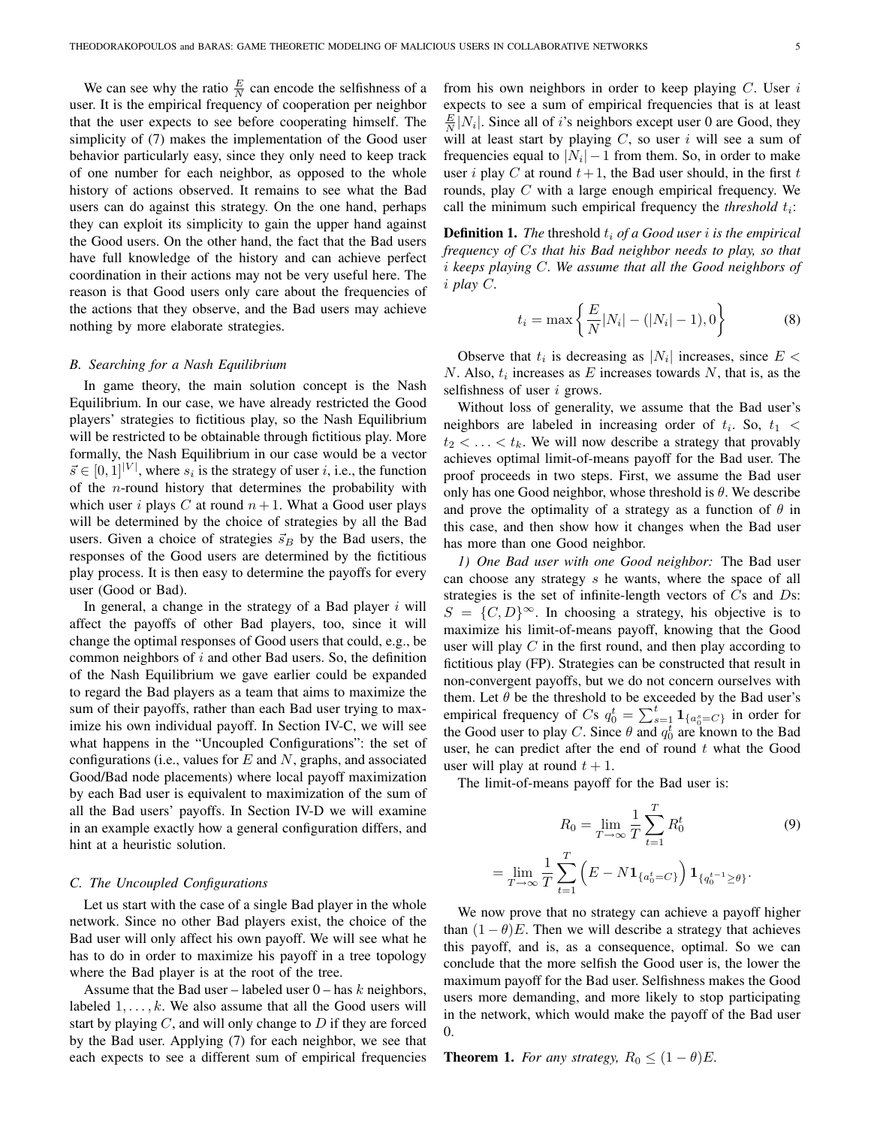We can see why the ratio  $\frac{E}{N}$  can encode the selfishness of a user. It is the empirical frequency of cooperation per neighbor that the user expects to see before cooperating himself. The simplicity of (7) makes the implementation of the Good user behavior particularly easy, since they only need to keep track of one number for each neighbor, as opposed to the whole history of actions observed. It remains to see what the Bad users can do against this strategy. On the one hand, perhaps they can exploit its simplicity to gain the upper hand against the Good users. On the other hand, the fact that the Bad users have full knowledge of the history and can achieve perfect coordination in their actions may not be very useful here. The reason is that Good users only care about the frequencies of the actions that they observe, and the Bad users may achieve nothing by more elaborate strategies.

## *B. Searching for a Nash Equilibrium*

In game theory, the main solution concept is the Nash Equilibrium. In our case, we have already restricted the Good players' strategies to fictitious play, so the Nash Equilibrium will be restricted to be obtainable through fictitious play. More formally, the Nash Equilibrium in our case would be a vector  $\vec{s} \in [0,1]^{|V|}$ , where  $s_i$  is the strategy of user i, i.e., the function of the *n*-round history that determines the probability with which user i plays C at round  $n+1$ . What a Good user plays will be determined by the choice of strategies by all the Bad users. Given a choice of strategies  $\vec{s}_B$  by the Bad users, the responses of the Good users are determined by the fictitious play process. It is then easy to determine the payoffs for every user (Good or Bad).

In general, a change in the strategy of a Bad player  $i$  will affect the payoffs of other Bad players, too, since it will change the optimal responses of Good users that could, e.g., be common neighbors of  $i$  and other Bad users. So, the definition of the Nash Equilibrium we gave earlier could be expanded to regard the Bad players as a team that aims to maximize the sum of their payoffs, rather than each Bad user trying to maximize his own individual payoff. In Section IV-C, we will see what happens in the "Uncoupled Configurations": the set of configurations (i.e., values for  $E$  and  $N$ , graphs, and associated Good/Bad node placements) where local payoff maximization by each Bad user is equivalent to maximization of the sum of all the Bad users' payoffs. In Section IV-D we will examine in an example exactly how a general configuration differs, and hint at a heuristic solution.

# *C. The Uncoupled Configurations*

Let us start with the case of a single Bad player in the whole network. Since no other Bad players exist, the choice of the Bad user will only affect his own payoff. We will see what he has to do in order to maximize his payoff in a tree topology where the Bad player is at the root of the tree.

Assume that the Bad user – labeled user  $0$  – has k neighbors, labeled  $1, \ldots, k$ . We also assume that all the Good users will start by playing  $C$ , and will only change to  $D$  if they are forced by the Bad user. Applying (7) for each neighbor, we see that each expects to see a different sum of empirical frequencies from his own neighbors in order to keep playing  $C$ . User i expects to see a sum of empirical frequencies that is at least  $\frac{E}{N}|N_i|$ . Since all of *i*'s neighbors except user 0 are Good, they will at least start by playing  $C$ , so user i will see a sum of frequencies equal to  $|N_i| - 1$  from them. So, in order to make user i play C at round  $t + 1$ , the Bad user should, in the first t rounds, play C with a large enough empirical frequency. We call the minimum such empirical frequency the *threshold*  $t_i$ :

**Definition 1.** *The* threshold  $t_i$  *of a Good user i is the empirical frequency of* C*s that his Bad neighbor needs to play, so that* i *keeps playing* C*. We assume that all the Good neighbors of* i *play* C*.*

$$
t_i = \max\left\{\frac{E}{N}|N_i| - (|N_i| - 1), 0\right\}
$$
 (8)

Observe that  $t_i$  is decreasing as  $|N_i|$  increases, since  $E <$ N. Also,  $t_i$  increases as E increases towards N, that is, as the selfishness of user  $i$  grows.

Without loss of generality, we assume that the Bad user's neighbors are labeled in increasing order of  $t_i$ . So,  $t_1$  <  $t_2 < \ldots < t_k$ . We will now describe a strategy that provably achieves optimal limit-of-means payoff for the Bad user. The proof proceeds in two steps. First, we assume the Bad user only has one Good neighbor, whose threshold is  $\theta$ . We describe and prove the optimality of a strategy as a function of  $\theta$  in this case, and then show how it changes when the Bad user has more than one Good neighbor.

*1) One Bad user with one Good neighbor:* The Bad user can choose any strategy s he wants, where the space of all strategies is the set of infinite-length vectors of  $Cs$  and  $Ds$ :  $S = \{C, D\}^{\infty}$ . In choosing a strategy, his objective is to maximize his limit-of-means payoff, knowing that the Good user will play  $C$  in the first round, and then play according to fictitious play (FP). Strategies can be constructed that result in non-convergent payoffs, but we do not concern ourselves with them. Let  $\theta$  be the threshold to be exceeded by the Bad user's them. Let  $\theta$  be the threshold to be exceeded by the Bad user s<br>empirical frequency of Cs  $q_0^t = \sum_{s=1}^t \mathbf{1}_{\{a_0^s = C\}}$  in order for the Good user to play C. Since  $\theta$  and  $q_0^t$  are known to the Bad user, he can predict after the end of round  $t$  what the Good user will play at round  $t + 1$ .

The limit-of-means payoff for the Bad user is:

$$
R_0 = \lim_{T \to \infty} \frac{1}{T} \sum_{t=1}^T R_0^t
$$
(9)  
= 
$$
\lim_{T \to \infty} \frac{1}{T} \sum_{t=1}^T \left( E - N \mathbf{1}_{\{a_0^t = C\}} \right) \mathbf{1}_{\{q_0^{t-1} \ge \theta\}}.
$$

We now prove that no strategy can achieve a payoff higher than  $(1 - \theta)E$ . Then we will describe a strategy that achieves this payoff, and is, as a consequence, optimal. So we can conclude that the more selfish the Good user is, the lower the maximum payoff for the Bad user. Selfishness makes the Good users more demanding, and more likely to stop participating in the network, which would make the payoff of the Bad user 0.

**Theorem 1.** *For any strategy,*  $R_0 \leq (1 - \theta)E$ .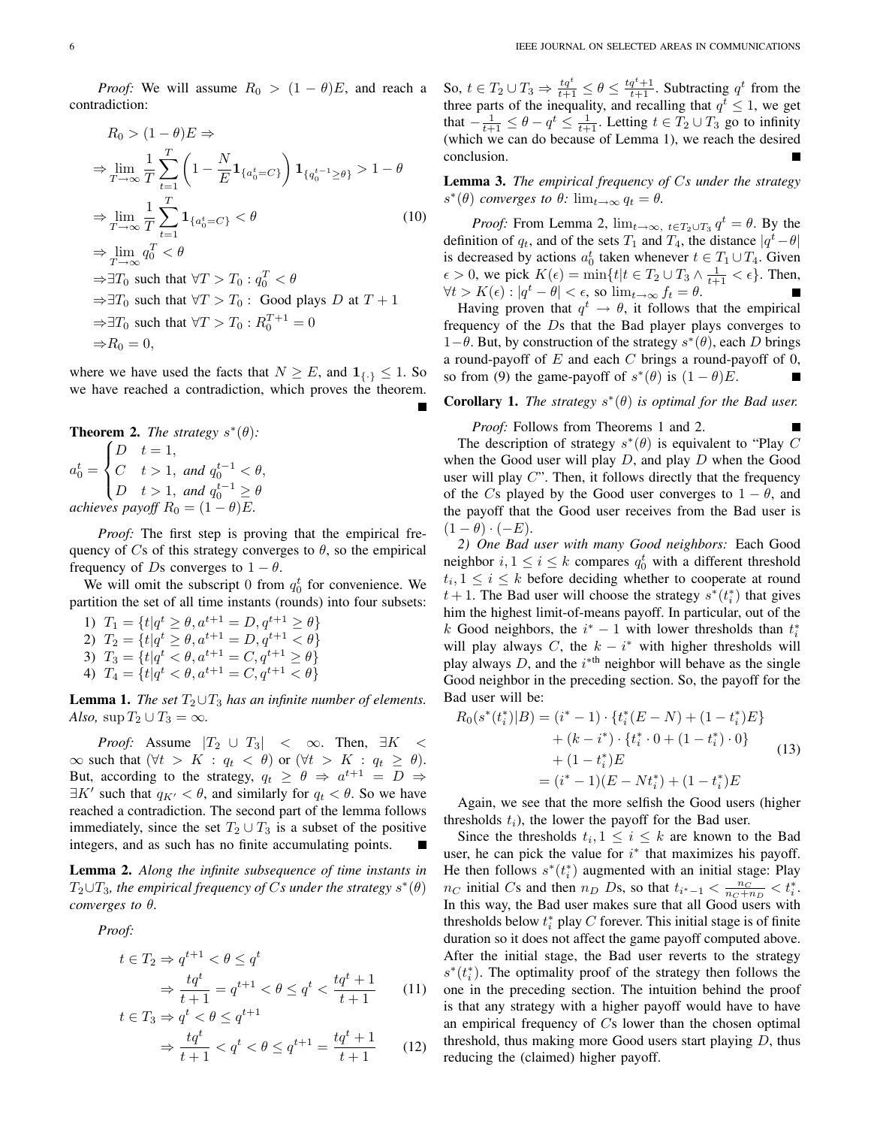*Proof:* We will assume  $R_0 > (1 - \theta)E$ , and reach a contradiction:

$$
R_0 > (1 - \theta)E \Rightarrow
$$
  
\n
$$
\Rightarrow \lim_{T \to \infty} \frac{1}{T} \sum_{t=1}^T \left(1 - \frac{N}{E} \mathbf{1}_{\{a_0^t = C\}}\right) \mathbf{1}_{\{q_0^{t-1} \ge \theta\}} > 1 - \theta
$$
  
\n
$$
\Rightarrow \lim_{T \to \infty} \frac{1}{T} \sum_{t=1}^T \mathbf{1}_{\{a_0^t = C\}} < \theta
$$
  
\n
$$
\Rightarrow \lim_{T \to \infty} q_0^T < \theta
$$
  
\n
$$
\Rightarrow \exists T_0 \text{ such that } \forall T > T_0 : q_0^T < \theta
$$
  
\n
$$
\Rightarrow \exists T_0 \text{ such that } \forall T > T_0 : \text{Good plays } D \text{ at } T + 1
$$
  
\n
$$
\Rightarrow \exists T_0 \text{ such that } \forall T > T_0 : R_0^{T+1} = 0
$$
  
\n
$$
\Rightarrow R_0 = 0,
$$

where we have used the facts that  $N \geq E$ , and  $\mathbf{1}_{\{.\}} \leq 1$ . So we have reached a contradiction, which proves the theorem.

**Theorem 2.** The strategy 
$$
s^*(\theta)
$$
:  
\n
$$
a_0^t = \begin{cases} D & t = 1, \\ C & t > 1, \\ D & t > 1, \\ B & t > 1, \end{cases} and  $a_0^{t-1} \geq \theta$   
\nachieves payoff  $R_0 = (1 - \theta)E$ .
$$

*Proof:* The first step is proving that the empirical frequency of Cs of this strategy converges to  $\theta$ , so the empirical frequency of Ds converges to  $1 - \theta$ .

We will omit the subscript 0 from  $q_0^t$  for convenience. We partition the set of all time instants (rounds) into four subsets:

1)  $T_1 = \{t | q^t \ge \theta, a^{t+1} = D, q^{t+1} \ge \theta\}$ 2)  $T_2 = \{t | q^t \ge \theta, a^{t+1} = D, q^{t+1} < \theta\}$ 3)  $T_3 = \{t | q^t < \theta, a^{t+1} = C, q^{t+1} \ge \theta\}$ 4)  $T_4 = \{t | q^t < \theta, a^{t+1} = C, q^{t+1} < \theta\}$ 

**Lemma 1.** *The set*  $T_2 \cup T_3$  *has an infinite number of elements. Also,*  $\sup T_2 \cup T_3 = \infty$ .

*Proof:* Assume  $|T_2 \cup T_3| \leq \infty$ . Then,  $\exists K$  <  $\infty$  such that  $(\forall t > K : q_t < \theta)$  or  $(\forall t > K : q_t \ge \theta)$ . But, according to the strategy,  $q_t \geq \theta \Rightarrow a^{t+1} = D \Rightarrow$  $\exists K'$  such that  $q_{K'} < \theta$ , and similarly for  $q_t < \theta$ . So we have reached a contradiction. The second part of the lemma follows immediately, since the set  $T_2 \cup T_3$  is a subset of the positive integers, and as such has no finite accumulating points.

Lemma 2. *Along the infinite subsequence of time instants in*  $T_2 \cup T_3$ , the empirical frequency of Cs under the strategy  $s^*(\theta)$ *converges to* θ*.*

*Proof:*

$$
t \in T_2 \Rightarrow q^{t+1} < \theta \le q^t
$$
\n
$$
\Rightarrow \frac{tq^t}{t+1} = q^{t+1} < \theta \le q^t < \frac{tq^t+1}{t+1} \qquad (11)
$$
\n
$$
t \in T_3 \Rightarrow q^t < \theta \le q^{t+1}
$$

$$
\Rightarrow \frac{tq^t}{t+1} < q^t < \theta \le q^{t+1} = \frac{tq^t + 1}{t+1} \tag{12}
$$

So,  $t \in T_2 \cup T_3 \Rightarrow \frac{tq^t}{t+1} \leq \theta \leq \frac{tq^t+1}{t+1}$ . Subtracting  $q^t$  from the three parts of the inequality, and recalling that  $q^t \leq 1$ , we get that  $-\frac{1}{t+1} \leq \theta - q^t \leq \frac{1}{t+1}$ . Letting  $t \in T_2 \cup T_3$  go to infinity (which we can do because of Lemma 1), we reach the desired conclusion.

Lemma 3. *The empirical frequency of* C*s under the strategy*  $s^*(\theta)$  *converges to*  $\theta$ *:*  $\lim_{t\to\infty} q_t = \theta$ *.* 

*Proof:* From Lemma 2,  $\lim_{t\to\infty, t \in T_2 \cup T_3} q^t = \theta$ . By the definition of  $q_t$ , and of the sets  $T_1$  and  $T_4$ , the distance  $|q^t - \theta|$ is decreased by actions  $a_0^t$  taken whenever  $t \in T_1 \cup T_4$ . Given  $\epsilon > 0$ , we pick  $K(\epsilon) = \min\{t | t \in T_2 \cup T_3 \wedge \frac{1}{t+1} < \epsilon\}.$  Then,  $\forall t > K(\epsilon) : |q^t - \theta| < \epsilon$ , so  $\lim_{t \to \infty} f_t = \theta$ .

Having proven that  $q^t \rightarrow \theta$ , it follows that the empirical frequency of the Ds that the Bad player plays converges to 1− $\theta$ . But, by construction of the strategy  $s^*(\theta)$ , each D brings a round-payoff of  $E$  and each  $C$  brings a round-payoff of 0, so from (9) the game-payoff of  $s^*(\theta)$  is  $(1 - \theta)E$ .

# **Corollary 1.** *The strategy*  $s^*(\theta)$  *is optimal for the Bad user.*

*Proof:* Follows from Theorems 1 and 2. The description of strategy  $s^*(\theta)$  is equivalent to "Play C when the Good user will play  $D$ , and play  $D$  when the Good user will play  $C$ ". Then, it follows directly that the frequency of the Cs played by the Good user converges to  $1 - \theta$ , and the payoff that the Good user receives from the Bad user is  $(1 - \theta) \cdot (-E)$ .

*2) One Bad user with many Good neighbors:* Each Good neighbor  $i, 1 \leq i \leq k$  compares  $q_0^t$  with a different threshold  $t_i, 1 \leq i \leq k$  before deciding whether to cooperate at round  $t + 1$ . The Bad user will choose the strategy  $s^*(t_i^*)$  that gives him the highest limit-of-means payoff. In particular, out of the k Good neighbors, the  $i^* - 1$  with lower thresholds than  $t_i^*$ will play always C, the  $k - i^*$  with higher thresholds will play always D, and the  $i^{*th}$  neighbor will behave as the single Good neighbor in the preceding section. So, the payoff for the Bad user will be:

$$
R_0(s^*(t_i^*)|B) = (i^*-1) \cdot \{t_i^*(E-N) + (1-t_i^*)E\}
$$
  
+  $(k-i^*) \cdot \{t_i^* \cdot 0 + (1-t_i^*) \cdot 0\}$   
+  $(1-t_i^*)E$   
=  $(i^*-1)(E-Nt_i^*) + (1-t_i^*)E$  (13)

Again, we see that the more selfish the Good users (higher thresholds  $t_i$ ), the lower the payoff for the Bad user.

Since the thresholds  $t_i, 1 \leq i \leq k$  are known to the Bad user, he can pick the value for  $i^*$  that maximizes his payoff. He then follows  $s^*(t_i^*)$  augmented with an initial stage: Play  $n_C$  initial Cs and then  $n_D$  Ds, so that  $t_{i^*-1} < \frac{n_C}{n_C + n_D} < t_i^*$ . In this way, the Bad user makes sure that all Good users with thresholds below  $t_i^*$  play  $C$  forever. This initial stage is of finite duration so it does not affect the game payoff computed above. After the initial stage, the Bad user reverts to the strategy  $s^*(t_i^*)$ . The optimality proof of the strategy then follows the one in the preceding section. The intuition behind the proof is that any strategy with a higher payoff would have to have an empirical frequency of  $Cs$  lower than the chosen optimal threshold, thus making more Good users start playing  $D$ , thus reducing the (claimed) higher payoff.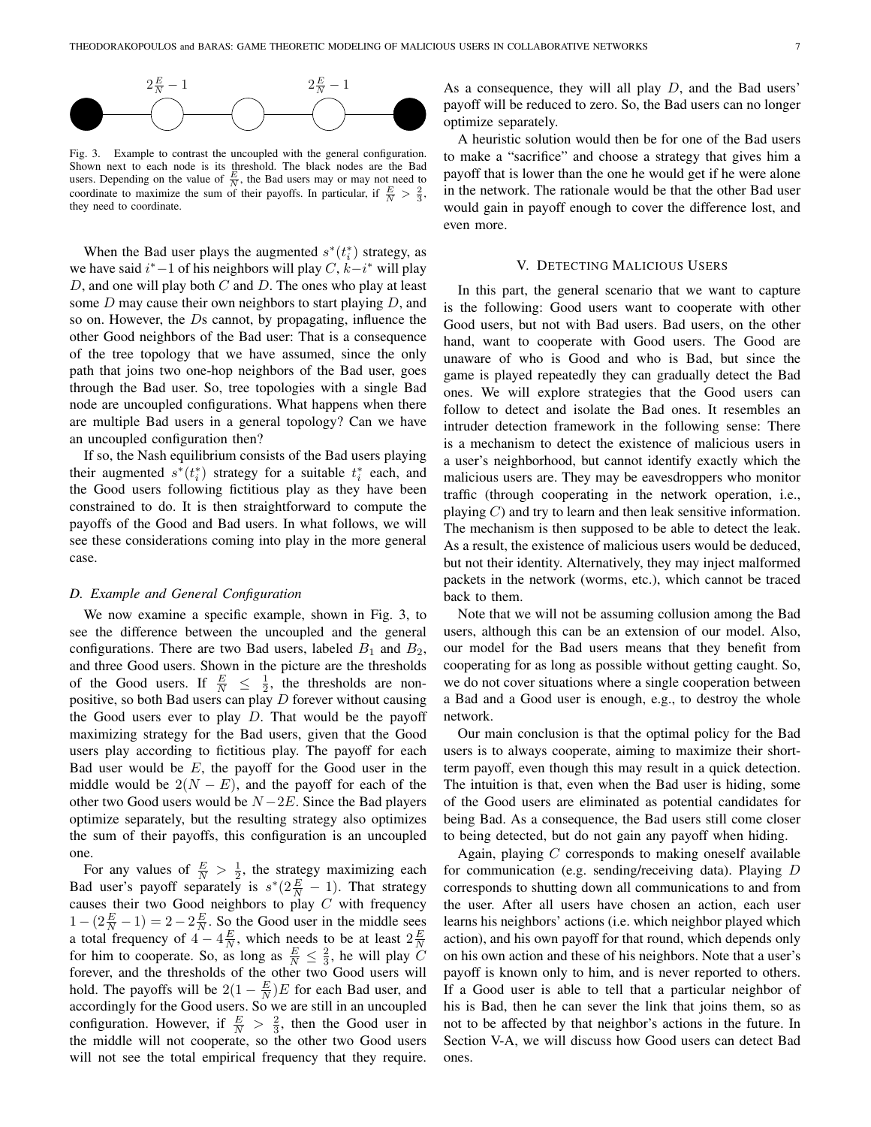

Fig. 3. Example to contrast the uncoupled with the general configuration. Shown next to each node is its threshold. The black nodes are the Bad users. Depending on the value of  $\frac{E}{N}$ , the Bad users may or may not need to coordinate to maximize the sum of their payoffs. In particular, if  $\frac{E}{N} > \frac{2}{3}$ , they need to coordinate.

When the Bad user plays the augmented  $s^*(t_i^*)$  strategy, as we have said  $i^*-1$  of his neighbors will play  $C, k-i^*$  will play D, and one will play both  $C$  and  $D$ . The ones who play at least some  $D$  may cause their own neighbors to start playing  $D$ , and so on. However, the Ds cannot, by propagating, influence the other Good neighbors of the Bad user: That is a consequence of the tree topology that we have assumed, since the only path that joins two one-hop neighbors of the Bad user, goes through the Bad user. So, tree topologies with a single Bad node are uncoupled configurations. What happens when there are multiple Bad users in a general topology? Can we have an uncoupled configuration then?

If so, the Nash equilibrium consists of the Bad users playing their augmented  $s^*(t_i^*)$  strategy for a suitable  $t_i^*$  each, and the Good users following fictitious play as they have been constrained to do. It is then straightforward to compute the payoffs of the Good and Bad users. In what follows, we will see these considerations coming into play in the more general case.

# *D. Example and General Configuration*

We now examine a specific example, shown in Fig. 3, to see the difference between the uncoupled and the general configurations. There are two Bad users, labeled  $B_1$  and  $B_2$ , and three Good users. Shown in the picture are the thresholds of the Good users. If  $\frac{E}{N} \leq \frac{1}{2}$ , the thresholds are nonpositive, so both Bad users can play  $D$  forever without causing the Good users ever to play  $D$ . That would be the payoff maximizing strategy for the Bad users, given that the Good users play according to fictitious play. The payoff for each Bad user would be  $E$ , the payoff for the Good user in the middle would be  $2(N - E)$ , and the payoff for each of the other two Good users would be  $N-2E$ . Since the Bad players optimize separately, but the resulting strategy also optimizes the sum of their payoffs, this configuration is an uncoupled one.

For any values of  $\frac{E}{N} > \frac{1}{2}$ , the strategy maximizing each Bad user's payoff separately is  $s^*(2\frac{E}{N} - 1)$ . That strategy causes their two Good neighbors to play  $C$  with frequency  $1 - (2\frac{E}{N} - 1) = 2 - 2\frac{E}{N}$ . So the Good user in the middle sees a total frequency of  $4 - 4\frac{E}{N}$ , which needs to be at least  $2\frac{E}{N}$ for him to cooperate. So, as long as  $\frac{E}{N} \leq \frac{2}{3}$ , he will play  $\ddot{C}$ forever, and the thresholds of the other two Good users will hold. The payoffs will be  $2(1 - \frac{E}{N})E$  for each Bad user, and accordingly for the Good users. So we are still in an uncoupled configuration. However, if  $\frac{E}{N} > \frac{2}{3}$ , then the Good user in the middle will not cooperate, so the other two Good users will not see the total empirical frequency that they require. As a consequence, they will all play D, and the Bad users' payoff will be reduced to zero. So, the Bad users can no longer optimize separately.

A heuristic solution would then be for one of the Bad users to make a "sacrifice" and choose a strategy that gives him a payoff that is lower than the one he would get if he were alone in the network. The rationale would be that the other Bad user would gain in payoff enough to cover the difference lost, and even more.

## V. DETECTING MALICIOUS USERS

In this part, the general scenario that we want to capture is the following: Good users want to cooperate with other Good users, but not with Bad users. Bad users, on the other hand, want to cooperate with Good users. The Good are unaware of who is Good and who is Bad, but since the game is played repeatedly they can gradually detect the Bad ones. We will explore strategies that the Good users can follow to detect and isolate the Bad ones. It resembles an intruder detection framework in the following sense: There is a mechanism to detect the existence of malicious users in a user's neighborhood, but cannot identify exactly which the malicious users are. They may be eavesdroppers who monitor traffic (through cooperating in the network operation, i.e., playing  $C$ ) and try to learn and then leak sensitive information. The mechanism is then supposed to be able to detect the leak. As a result, the existence of malicious users would be deduced, but not their identity. Alternatively, they may inject malformed packets in the network (worms, etc.), which cannot be traced back to them.

Note that we will not be assuming collusion among the Bad users, although this can be an extension of our model. Also, our model for the Bad users means that they benefit from cooperating for as long as possible without getting caught. So, we do not cover situations where a single cooperation between a Bad and a Good user is enough, e.g., to destroy the whole network.

Our main conclusion is that the optimal policy for the Bad users is to always cooperate, aiming to maximize their shortterm payoff, even though this may result in a quick detection. The intuition is that, even when the Bad user is hiding, some of the Good users are eliminated as potential candidates for being Bad. As a consequence, the Bad users still come closer to being detected, but do not gain any payoff when hiding.

Again, playing  $C$  corresponds to making oneself available for communication (e.g. sending/receiving data). Playing D corresponds to shutting down all communications to and from the user. After all users have chosen an action, each user learns his neighbors' actions (i.e. which neighbor played which action), and his own payoff for that round, which depends only on his own action and these of his neighbors. Note that a user's payoff is known only to him, and is never reported to others. If a Good user is able to tell that a particular neighbor of his is Bad, then he can sever the link that joins them, so as not to be affected by that neighbor's actions in the future. In Section V-A, we will discuss how Good users can detect Bad ones.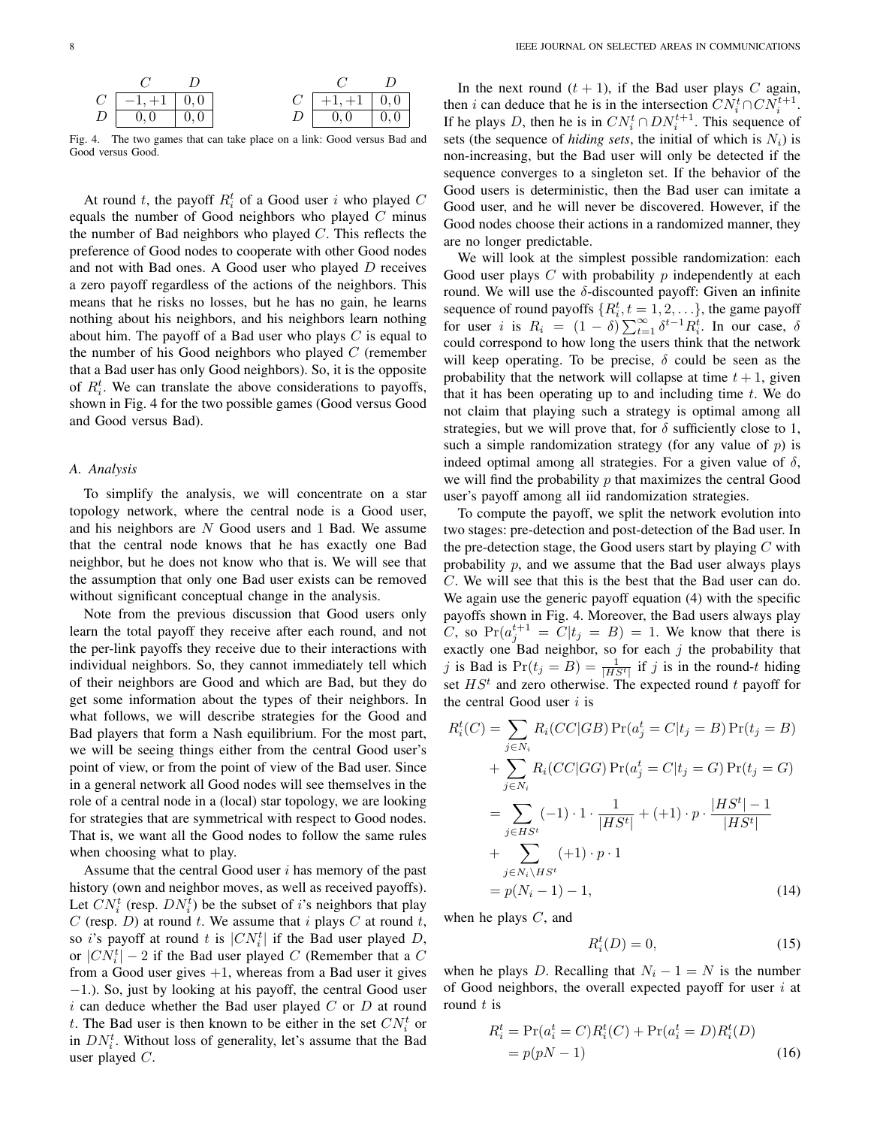| $C \begin{bmatrix} -1, +1 & 0, 0 \end{bmatrix}$                  |  | $C \left[ \frac{+1, +1 \left[ 0, 0 \right]}{+1, +1 \left[ 0, 0 \right]} \right]$ |  |
|------------------------------------------------------------------|--|----------------------------------------------------------------------------------|--|
| $D \begin{array}{ c c c } \hline 0,0 & 0,0 \ \hline \end{array}$ |  | $D \begin{bmatrix} 0,0 & 0,0 \end{bmatrix}$                                      |  |

Fig. 4. The two games that can take place on a link: Good versus Bad and Good versus Good.

At round t, the payoff  $R_i^t$  of a Good user i who played C equals the number of Good neighbors who played  $C$  minus the number of Bad neighbors who played  $C$ . This reflects the preference of Good nodes to cooperate with other Good nodes and not with Bad ones. A Good user who played  $D$  receives a zero payoff regardless of the actions of the neighbors. This means that he risks no losses, but he has no gain, he learns nothing about his neighbors, and his neighbors learn nothing about him. The payoff of a Bad user who plays  $C$  is equal to the number of his Good neighbors who played  $C$  (remember that a Bad user has only Good neighbors). So, it is the opposite of  $R_i^t$ . We can translate the above considerations to payoffs, shown in Fig. 4 for the two possible games (Good versus Good and Good versus Bad).

# *A. Analysis*

To simplify the analysis, we will concentrate on a star topology network, where the central node is a Good user, and his neighbors are  $N$  Good users and 1 Bad. We assume that the central node knows that he has exactly one Bad neighbor, but he does not know who that is. We will see that the assumption that only one Bad user exists can be removed without significant conceptual change in the analysis.

Note from the previous discussion that Good users only learn the total payoff they receive after each round, and not the per-link payoffs they receive due to their interactions with individual neighbors. So, they cannot immediately tell which of their neighbors are Good and which are Bad, but they do get some information about the types of their neighbors. In what follows, we will describe strategies for the Good and Bad players that form a Nash equilibrium. For the most part, we will be seeing things either from the central Good user's point of view, or from the point of view of the Bad user. Since in a general network all Good nodes will see themselves in the role of a central node in a (local) star topology, we are looking for strategies that are symmetrical with respect to Good nodes. That is, we want all the Good nodes to follow the same rules when choosing what to play.

Assume that the central Good user  $i$  has memory of the past history (own and neighbor moves, as well as received payoffs). Let  $CN_i^t$  (resp.  $DN_i^t$ ) be the subset of *i*'s neighbors that play C (resp. D) at round t. We assume that i plays C at round t, so *i*'s payoff at round t is  $|CN_i^t|$  if the Bad user played D, or  $|CN_i^t| - 2$  if the Bad user played C (Remember that a C from a Good user gives  $+1$ , whereas from a Bad user it gives −1.). So, just by looking at his payoff, the central Good user  $i$  can deduce whether the Bad user played  $C$  or  $D$  at round t. The Bad user is then known to be either in the set  $CN_i^t$  or in  $DN_i^t$ . Without loss of generality, let's assume that the Bad user played  $C$ .

In the next round  $(t + 1)$ , if the Bad user plays C again, then *i* can deduce that he is in the intersection  $CN_i^t \cap CN_i^{t+1}$ . If he plays D, then he is in  $CN_i^t \cap DN_i^{t+1}$ . This sequence of sets (the sequence of *hiding sets*, the initial of which is  $N_i$ ) is non-increasing, but the Bad user will only be detected if the sequence converges to a singleton set. If the behavior of the Good users is deterministic, then the Bad user can imitate a Good user, and he will never be discovered. However, if the Good nodes choose their actions in a randomized manner, they are no longer predictable.

We will look at the simplest possible randomization: each Good user plays  $C$  with probability  $p$  independently at each round. We will use the δ-discounted payoff: Given an infinite sequence of round payoffs  $\{R_i^t, t = 1, 2, \ldots\}$ , the game payoff sequence of found payons  $\{R_i, i = 1, 2, \ldots\}$ , the game payon<br>for user i is  $R_i = (1 - \delta) \sum_{t=1}^{\infty} \delta^{t-1} R_i^t$ . In our case,  $\delta$ could correspond to how long the users think that the network will keep operating. To be precise,  $\delta$  could be seen as the probability that the network will collapse at time  $t + 1$ , given that it has been operating up to and including time  $t$ . We do not claim that playing such a strategy is optimal among all strategies, but we will prove that, for  $\delta$  sufficiently close to 1, such a simple randomization strategy (for any value of  $p$ ) is indeed optimal among all strategies. For a given value of  $\delta$ , we will find the probability  $p$  that maximizes the central Good user's payoff among all iid randomization strategies.

To compute the payoff, we split the network evolution into two stages: pre-detection and post-detection of the Bad user. In the pre-detection stage, the Good users start by playing  $C$  with probability  $p$ , and we assume that the Bad user always plays C. We will see that this is the best that the Bad user can do. We again use the generic payoff equation (4) with the specific payoffs shown in Fig. 4. Moreover, the Bad users always play C, so  $Pr(a_j^{t+1} = C | t_j = B) = 1$ . We know that there is exactly one Bad neighbor, so for each  $j$  the probability that j is Bad is  $Pr(t_j = B) = \frac{1}{|HS^t|}$  if j is in the round-t hiding set  $HS<sup>t</sup>$  and zero otherwise. The expected round t payoff for the central Good user  $i$  is

$$
R_i^t(C) = \sum_{j \in N_i} R_i(CC|GB) \Pr(a_j^t = C | t_j = B) \Pr(t_j = B)
$$
  
+ 
$$
\sum_{j \in N_i} R_i(CC|GG) \Pr(a_j^t = C | t_j = G) \Pr(t_j = G)
$$
  
= 
$$
\sum_{j \in H S^t} (-1) \cdot 1 \cdot \frac{1}{|HS^t|} + (+1) \cdot p \cdot \frac{|HS^t| - 1}{|HS^t|}
$$
  
+ 
$$
\sum_{j \in N_i \setminus H S^t} (+1) \cdot p \cdot 1
$$
  
= 
$$
p(N_i - 1) - 1,
$$
 (14)

when he plays  $C$ , and

$$
R_i^t(D) = 0,\t(15)
$$

when he plays D. Recalling that  $N_i - 1 = N$  is the number of Good neighbors, the overall expected payoff for user  $i$  at round  $t$  is

$$
R_i^t = \Pr(a_i^t = C)R_i^t(C) + \Pr(a_i^t = D)R_i^t(D)
$$
  
=  $p(pN - 1)$  (16)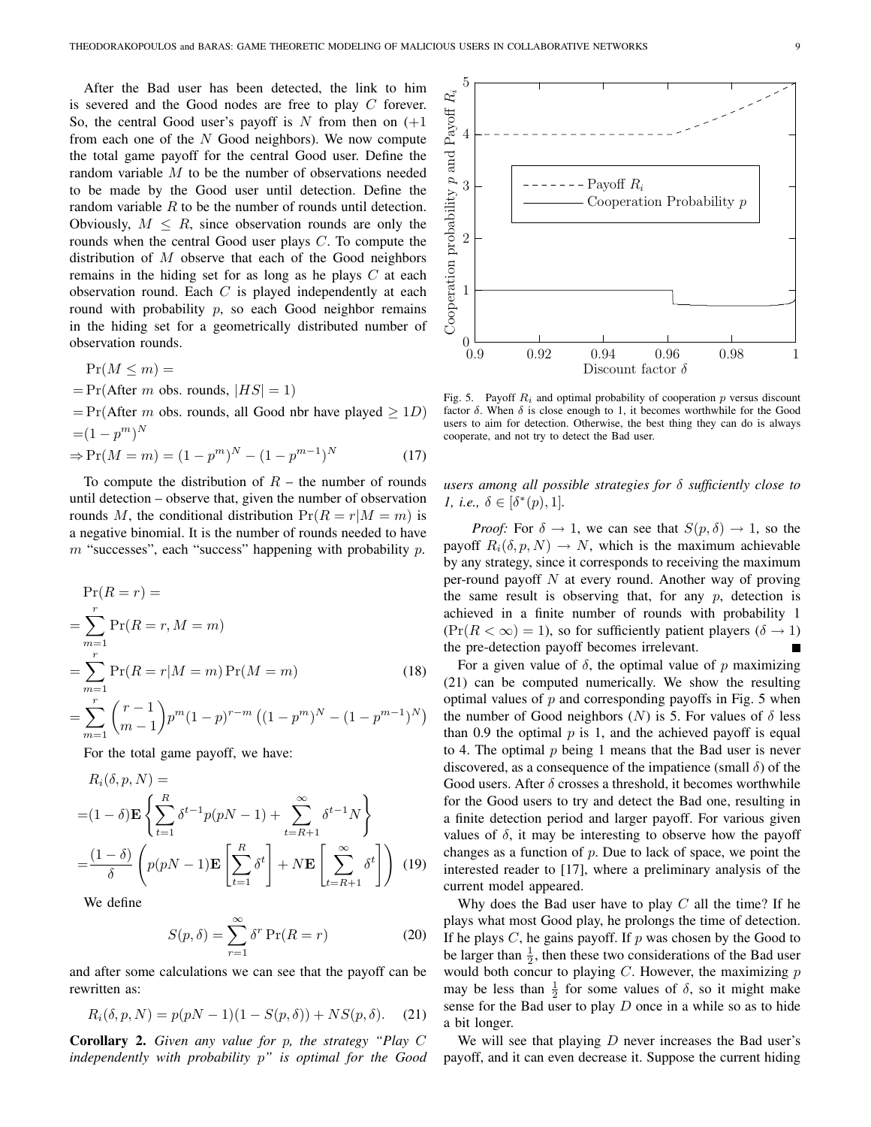After the Bad user has been detected, the link to him is severed and the Good nodes are free to play C forever. So, the central Good user's payoff is N from then on  $(+1)$ from each one of the  $N$  Good neighbors). We now compute the total game payoff for the central Good user. Define the random variable M to be the number of observations needed to be made by the Good user until detection. Define the random variable  $R$  to be the number of rounds until detection. Obviously,  $M \leq R$ , since observation rounds are only the rounds when the central Good user plays C. To compute the distribution of  $M$  observe that each of the Good neighbors remains in the hiding set for as long as he plays  $C$  at each observation round. Each  $C$  is played independently at each round with probability  $p$ , so each Good neighbor remains in the hiding set for a geometrically distributed number of observation rounds.

$$
Pr(M \le m) =
$$
  
= Pr(After *m* obs. rounds,  $|HS| = 1$ )  
= Pr(After *m* obs. rounds, all Good nh have played  $\ge 1D$ )  
=  $(1 - pm)N$   
 $\Rightarrow Pr(M = m) = (1 - pm)N - (1 - pm-1)N$  (17)

To compute the distribution of  $R$  – the number of rounds until detection – observe that, given the number of observation rounds M, the conditional distribution  $Pr(R = r|M = m)$  is a negative binomial. It is the number of rounds needed to have  $m$  "successes", each "success" happening with probability  $p$ .

$$
\Pr(R = r) =
$$
\n
$$
= \sum_{m=1}^{r} \Pr(R = r, M = m)
$$
\n
$$
= \sum_{m=1}^{r} \Pr(R = r | M = m) \Pr(M = m)
$$
\n
$$
= \sum_{m=1}^{r} {r-1 \choose m-1} p^{m} (1-p)^{r-m} ((1-p)^{m}) - (1-p)^{m-1})^{N}
$$
\n(18)

For the total game payoff, we have:

$$
R_i(\delta, p, N) =
$$
  
=  $(1 - \delta) \mathbf{E} \left\{ \sum_{t=1}^R \delta^{t-1} p(pN - 1) + \sum_{t=R+1}^\infty \delta^{t-1} N \right\}$   
=  $\frac{(1 - \delta)}{\delta} \left( p(pN - 1) \mathbf{E} \left[ \sum_{t=1}^R \delta^t \right] + N \mathbf{E} \left[ \sum_{t=R+1}^\infty \delta^t \right] \right)$  (19)

We define

$$
S(p,\delta) = \sum_{r=1}^{\infty} \delta^r \Pr(R=r)
$$
 (20)

and after some calculations we can see that the payoff can be rewritten as:

$$
R_i(\delta, p, N) = p(pN - 1)(1 - S(p, \delta)) + NS(p, \delta).
$$
 (21)

Corollary 2. *Given any value for* p*, the strategy "Play* C *independently with probability* p*" is optimal for the Good*

Fig. 5. Payoff  $R_i$  and optimal probability of cooperation  $p$  versus discount factor  $\delta$ . When  $\delta$  is close enough to 1, it becomes worthwhile for the Good users to aim for detection. Otherwise, the best thing they can do is always cooperate, and not try to detect the Bad user.

*users among all possible strategies for* δ *sufficiently close to l*, *i.e.*,  $\delta \in [\delta^*(p), 1]$ .

*Proof:* For  $\delta \to 1$ , we can see that  $S(p, \delta) \to 1$ , so the payoff  $R_i(\delta, p, N) \to N$ , which is the maximum achievable by any strategy, since it corresponds to receiving the maximum per-round payoff  $N$  at every round. Another way of proving the same result is observing that, for any  $p$ , detection is achieved in a finite number of rounds with probability 1  $(\Pr(R < \infty) = 1)$ , so for sufficiently patient players  $(\delta \rightarrow 1)$ the pre-detection payoff becomes irrelevant.

For a given value of  $\delta$ , the optimal value of p maximizing (21) can be computed numerically. We show the resulting optimal values of  $p$  and corresponding payoffs in Fig. 5 when the number of Good neighbors  $(N)$  is 5. For values of  $\delta$  less than 0.9 the optimal  $p$  is 1, and the achieved payoff is equal to 4. The optimal  $p$  being 1 means that the Bad user is never discovered, as a consequence of the impatience (small  $\delta$ ) of the Good users. After  $\delta$  crosses a threshold, it becomes worthwhile for the Good users to try and detect the Bad one, resulting in a finite detection period and larger payoff. For various given values of  $\delta$ , it may be interesting to observe how the payoff changes as a function of  $p$ . Due to lack of space, we point the interested reader to [17], where a preliminary analysis of the current model appeared.

Why does the Bad user have to play  $C$  all the time? If he plays what most Good play, he prolongs the time of detection. If he plays  $C$ , he gains payoff. If  $p$  was chosen by the Good to be larger than  $\frac{1}{2}$ , then these two considerations of the Bad user would both concur to playing  $C$ . However, the maximizing  $p$ may be less than  $\frac{1}{2}$  for some values of  $\delta$ , so it might make sense for the Bad user to play  $D$  once in a while so as to hide a bit longer.

We will see that playing  $D$  never increases the Bad user's payoff, and it can even decrease it. Suppose the current hiding

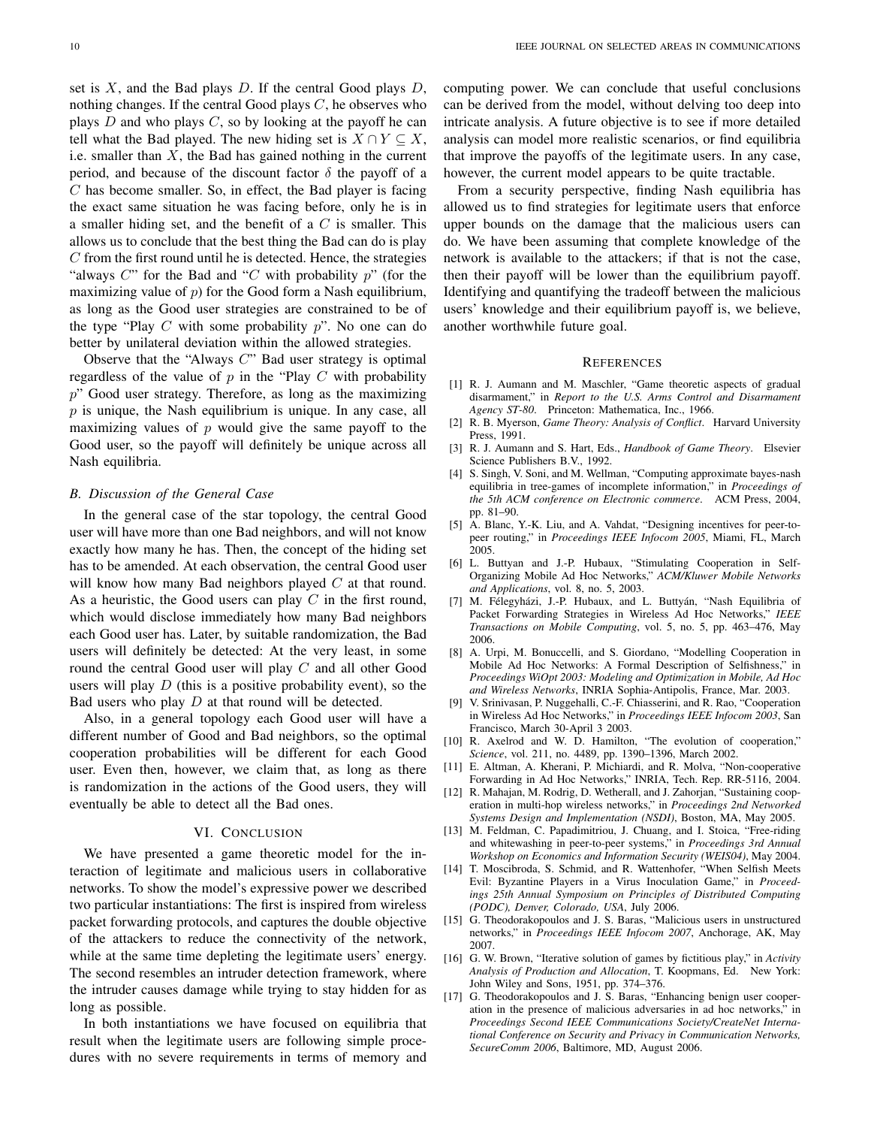set is  $X$ , and the Bad plays  $D$ . If the central Good plays  $D$ , nothing changes. If the central Good plays  $C$ , he observes who plays  $D$  and who plays  $C$ , so by looking at the payoff he can tell what the Bad played. The new hiding set is  $X \cap Y \subseteq X$ , i.e. smaller than  $X$ , the Bad has gained nothing in the current period, and because of the discount factor  $\delta$  the payoff of a  $C$  has become smaller. So, in effect, the Bad player is facing the exact same situation he was facing before, only he is in a smaller hiding set, and the benefit of a  $C$  is smaller. This allows us to conclude that the best thing the Bad can do is play C from the first round until he is detected. Hence, the strategies "always  $C$ " for the Bad and " $C$  with probability  $p$ " (for the maximizing value of  $p$ ) for the Good form a Nash equilibrium, as long as the Good user strategies are constrained to be of the type "Play  $C$  with some probability  $p$ ". No one can do better by unilateral deviation within the allowed strategies.

Observe that the "Always  $C$ " Bad user strategy is optimal regardless of the value of  $p$  in the "Play  $C$  with probability  $p$ " Good user strategy. Therefore, as long as the maximizing  $p$  is unique, the Nash equilibrium is unique. In any case, all maximizing values of  $p$  would give the same payoff to the Good user, so the payoff will definitely be unique across all Nash equilibria.

# *B. Discussion of the General Case*

In the general case of the star topology, the central Good user will have more than one Bad neighbors, and will not know exactly how many he has. Then, the concept of the hiding set has to be amended. At each observation, the central Good user will know how many Bad neighbors played  $C$  at that round. As a heuristic, the Good users can play  $C$  in the first round, which would disclose immediately how many Bad neighbors each Good user has. Later, by suitable randomization, the Bad users will definitely be detected: At the very least, in some round the central Good user will play C and all other Good users will play  $D$  (this is a positive probability event), so the Bad users who play  $D$  at that round will be detected.

Also, in a general topology each Good user will have a different number of Good and Bad neighbors, so the optimal cooperation probabilities will be different for each Good user. Even then, however, we claim that, as long as there is randomization in the actions of the Good users, they will eventually be able to detect all the Bad ones.

## VI. CONCLUSION

We have presented a game theoretic model for the interaction of legitimate and malicious users in collaborative networks. To show the model's expressive power we described two particular instantiations: The first is inspired from wireless packet forwarding protocols, and captures the double objective of the attackers to reduce the connectivity of the network, while at the same time depleting the legitimate users' energy. The second resembles an intruder detection framework, where the intruder causes damage while trying to stay hidden for as long as possible.

In both instantiations we have focused on equilibria that result when the legitimate users are following simple procedures with no severe requirements in terms of memory and computing power. We can conclude that useful conclusions can be derived from the model, without delving too deep into intricate analysis. A future objective is to see if more detailed analysis can model more realistic scenarios, or find equilibria that improve the payoffs of the legitimate users. In any case, however, the current model appears to be quite tractable.

From a security perspective, finding Nash equilibria has allowed us to find strategies for legitimate users that enforce upper bounds on the damage that the malicious users can do. We have been assuming that complete knowledge of the network is available to the attackers; if that is not the case, then their payoff will be lower than the equilibrium payoff. Identifying and quantifying the tradeoff between the malicious users' knowledge and their equilibrium payoff is, we believe, another worthwhile future goal.

#### **REFERENCES**

- [1] R. J. Aumann and M. Maschler, "Game theoretic aspects of gradual disarmament," in *Report to the U.S. Arms Control and Disarmament Agency ST-80*. Princeton: Mathematica, Inc., 1966.
- [2] R. B. Myerson, *Game Theory: Analysis of Conflict*. Harvard University Press, 1991.
- [3] R. J. Aumann and S. Hart, Eds., *Handbook of Game Theory*. Elsevier Science Publishers B.V., 1992.
- [4] S. Singh, V. Soni, and M. Wellman, "Computing approximate bayes-nash equilibria in tree-games of incomplete information," in *Proceedings of the 5th ACM conference on Electronic commerce*. ACM Press, 2004, pp. 81–90.
- [5] A. Blanc, Y.-K. Liu, and A. Vahdat, "Designing incentives for peer-topeer routing," in *Proceedings IEEE Infocom 2005*, Miami, FL, March 2005.
- [6] L. Buttyan and J.-P. Hubaux, "Stimulating Cooperation in Self-Organizing Mobile Ad Hoc Networks," *ACM/Kluwer Mobile Networks and Applications*, vol. 8, no. 5, 2003.
- [7] M. Félegyházi, J.-P. Hubaux, and L. Buttyán, "Nash Equilibria of Packet Forwarding Strategies in Wireless Ad Hoc Networks," *IEEE Transactions on Mobile Computing*, vol. 5, no. 5, pp. 463–476, May 2006.
- [8] A. Urpi, M. Bonuccelli, and S. Giordano, "Modelling Cooperation in Mobile Ad Hoc Networks: A Formal Description of Selfishness," in *Proceedings WiOpt 2003: Modeling and Optimization in Mobile, Ad Hoc and Wireless Networks*, INRIA Sophia-Antipolis, France, Mar. 2003.
- [9] V. Srinivasan, P. Nuggehalli, C.-F. Chiasserini, and R. Rao, "Cooperation in Wireless Ad Hoc Networks," in *Proceedings IEEE Infocom 2003*, San Francisco, March 30-April 3 2003.
- [10] R. Axelrod and W. D. Hamilton, "The evolution of cooperation," *Science*, vol. 211, no. 4489, pp. 1390–1396, March 2002.
- [11] E. Altman, A. Kherani, P. Michiardi, and R. Molva, "Non-cooperative Forwarding in Ad Hoc Networks," INRIA, Tech. Rep. RR-5116, 2004.
- [12] R. Mahajan, M. Rodrig, D. Wetherall, and J. Zahorjan, "Sustaining cooperation in multi-hop wireless networks," in *Proceedings 2nd Networked Systems Design and Implementation (NSDI)*, Boston, MA, May 2005.
- [13] M. Feldman, C. Papadimitriou, J. Chuang, and I. Stoica, "Free-riding and whitewashing in peer-to-peer systems," in *Proceedings 3rd Annual Workshop on Economics and Information Security (WEIS04)*, May 2004.
- [14] T. Moscibroda, S. Schmid, and R. Wattenhofer, "When Selfish Meets Evil: Byzantine Players in a Virus Inoculation Game," in *Proceedings 25th Annual Symposium on Principles of Distributed Computing (PODC), Denver, Colorado, USA*, July 2006.
- [15] G. Theodorakopoulos and J. S. Baras, "Malicious users in unstructured networks," in *Proceedings IEEE Infocom 2007*, Anchorage, AK, May 2007.
- [16] G. W. Brown, "Iterative solution of games by fictitious play," in *Activity Analysis of Production and Allocation*, T. Koopmans, Ed. New York: John Wiley and Sons, 1951, pp. 374–376.
- [17] G. Theodorakopoulos and J. S. Baras, "Enhancing benign user cooperation in the presence of malicious adversaries in ad hoc networks," in *Proceedings Second IEEE Communications Society/CreateNet International Conference on Security and Privacy in Communication Networks, SecureComm 2006*, Baltimore, MD, August 2006.